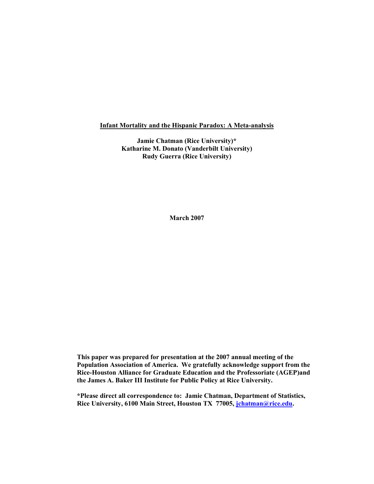#### Infant Mortality and the Hispanic Paradox: A Meta-analysis

Jamie Chatman (Rice University)\* Katharine M. Donato (Vanderbilt University) Rudy Guerra (Rice University)

March 2007

This paper was prepared for presentation at the 2007 annual meeting of the Population Association of America. We gratefully acknowledge support from the Rice-Houston Alliance for Graduate Education and the Professoriate (AGEP)and the James A. Baker III Institute for Public Policy at Rice University.

\*Please direct all correspondence to: Jamie Chatman, Department of Statistics, Rice University, 6100 Main Street, Houston TX 77005, [jchatman@rice.edu.](mailto:jchatman@rice.edu)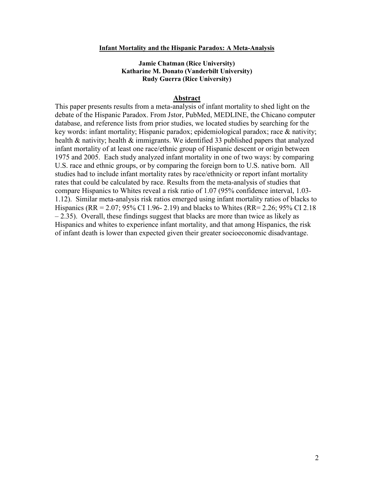#### Infant Mortality and the Hispanic Paradox: A Meta-Analysis

## Jamie Chatman (Rice University) Katharine M. Donato (Vanderbilt University) Rudy Guerra (Rice University)

#### Abstract

This paper presents results from a meta-analysis of infant mortality to shed light on the debate of the Hispanic Paradox. From Jstor, PubMed, MEDLINE, the Chicano computer database, and reference lists from prior studies, we located studies by searching for the key words: infant mortality; Hispanic paradox; epidemiological paradox; race & nativity; health & nativity; health & immigrants. We identified 33 published papers that analyzed infant mortality of at least one race/ethnic group of Hispanic descent or origin between 1975 and 2005. Each study analyzed infant mortality in one of two ways: by comparing U.S. race and ethnic groups, or by comparing the foreign born to U.S. native born. All studies had to include infant mortality rates by race/ethnicity or report infant mortality rates that could be calculated by race. Results from the meta-analysis of studies that compare Hispanics to Whites reveal a risk ratio of 1.07 (95% confidence interval, 1.03- 1.12). Similar meta-analysis risk ratios emerged using infant mortality ratios of blacks to Hispanics (RR = 2.07; 95% CI 1.96- 2.19) and blacks to Whites (RR= 2.26; 95% CI 2.18 – 2.35). Overall, these findings suggest that blacks are more than twice as likely as Hispanics and whites to experience infant mortality, and that among Hispanics, the risk of infant death is lower than expected given their greater socioeconomic disadvantage.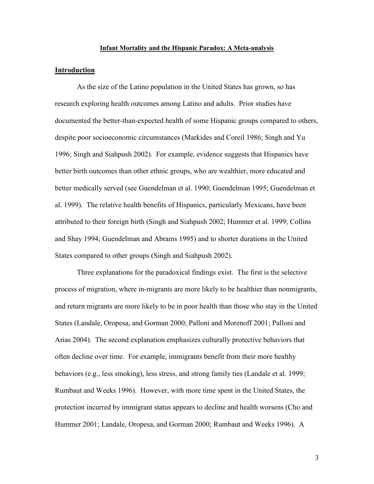#### Infant Mortality and the Hispanic Paradox: A Meta-analysis

### Introduction

As the size of the Latino population in the United States has grown, so has research exploring health outcomes among Latino and adults. Prior studies have documented the better-than-expected health of some Hispanic groups compared to others, despite poor socioeconomic circumstances (Markides and Coreil 1986; Singh and Yu 1996; Singh and Siahpush 2002). For example, evidence suggests that Hispanics have better birth outcomes than other ethnic groups, who are wealthier, more educated and better medically served (see Guendelman et al. 1990; Guendelman 1995; Guendelman et al. 1999). The relative health benefits of Hispanics, particularly Mexicans, have been attributed to their foreign birth (Singh and Siahpush 2002; Hummer et al. 1999; Collins and Shay 1994; Guendelman and Abrams 1995) and to shorter durations in the United States compared to other groups (Singh and Siahpush 2002).

Three explanations for the paradoxical findings exist. The first is the selective process of migration, where in-migrants are more likely to be healthier than nonmigrants, and return migrants are more likely to be in poor health than those who stay in the United States (Landale, Oropesa, and Gorman 2000; Palloni and Morenoff 2001; Palloni and Arias 2004). The second explanation emphasizes culturally protective behaviors that often decline over time. For example, immigrants benefit from their more healthy behaviors (e.g., less smoking), less stress, and strong family ties (Landale et al. 1999; Rumbaut and Weeks 1996). However, with more time spent in the United States, the protection incurred by immigrant status appears to decline and health worsens (Cho and Hummer 2001; Landale, Oropesa, and Gorman 2000; Rumbaut and Weeks 1996). A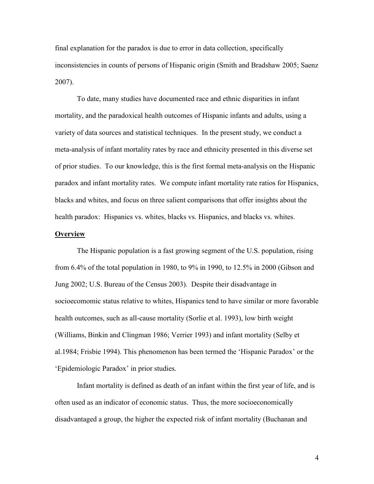final explanation for the paradox is due to error in data collection, specifically inconsistencies in counts of persons of Hispanic origin (Smith and Bradshaw 2005; Saenz 2007).

To date, many studies have documented race and ethnic disparities in infant mortality, and the paradoxical health outcomes of Hispanic infants and adults, using a variety of data sources and statistical techniques. In the present study, we conduct a meta-analysis of infant mortality rates by race and ethnicity presented in this diverse set of prior studies. To our knowledge, this is the first formal meta-analysis on the Hispanic paradox and infant mortality rates. We compute infant mortality rate ratios for Hispanics, blacks and whites, and focus on three salient comparisons that offer insights about the health paradox: Hispanics vs. whites, blacks vs. Hispanics, and blacks vs. whites.

#### **Overview**

The Hispanic population is a fast growing segment of the U.S. population, rising from 6.4% of the total population in 1980, to 9% in 1990, to 12.5% in 2000 (Gibson and Jung 2002; U.S. Bureau of the Census 2003). Despite their disadvantage in socioecomomic status relative to whites, Hispanics tend to have similar or more favorable health outcomes, such as all-cause mortality (Sorlie et al. 1993), low birth weight (Williams, Binkin and Clingman 1986; Verrier 1993) and infant mortality (Selby et al.1984; Frisbie 1994). This phenomenon has been termed the 'Hispanic Paradox' or the 'Epidemiologic Paradox' in prior studies.

 Infant mortality is defined as death of an infant within the first year of life, and is often used as an indicator of economic status. Thus, the more socioeconomically disadvantaged a group, the higher the expected risk of infant mortality (Buchanan and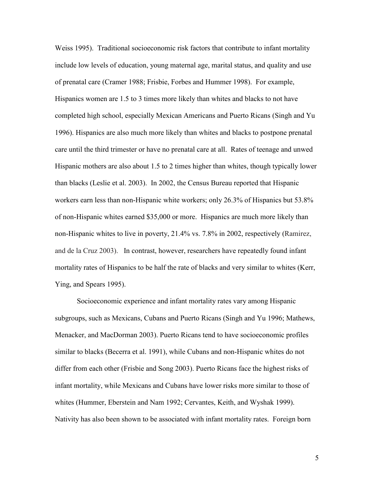Weiss 1995). Traditional socioeconomic risk factors that contribute to infant mortality include low levels of education, young maternal age, marital status, and quality and use of prenatal care (Cramer 1988; Frisbie, Forbes and Hummer 1998). For example, Hispanics women are 1.5 to 3 times more likely than whites and blacks to not have completed high school, especially Mexican Americans and Puerto Ricans (Singh and Yu 1996). Hispanics are also much more likely than whites and blacks to postpone prenatal care until the third trimester or have no prenatal care at all. Rates of teenage and unwed Hispanic mothers are also about 1.5 to 2 times higher than whites, though typically lower than blacks (Leslie et al. 2003). In 2002, the Census Bureau reported that Hispanic workers earn less than non-Hispanic white workers; only 26.3% of Hispanics but 53.8% of non-Hispanic whites earned \$35,000 or more. Hispanics are much more likely than non-Hispanic whites to live in poverty, 21.4% vs. 7.8% in 2002, respectively (Ramirez, and de la Cruz 2003). In contrast, however, researchers have repeatedly found infant mortality rates of Hispanics to be half the rate of blacks and very similar to whites (Kerr, Ying, and Spears 1995).

 Socioeconomic experience and infant mortality rates vary among Hispanic subgroups, such as Mexicans, Cubans and Puerto Ricans (Singh and Yu 1996; Mathews, Menacker, and MacDorman 2003). Puerto Ricans tend to have socioeconomic profiles similar to blacks (Becerra et al. 1991), while Cubans and non-Hispanic whites do not differ from each other (Frisbie and Song 2003). Puerto Ricans face the highest risks of infant mortality, while Mexicans and Cubans have lower risks more similar to those of whites (Hummer, Eberstein and Nam 1992; Cervantes, Keith, and Wyshak 1999). Nativity has also been shown to be associated with infant mortality rates. Foreign born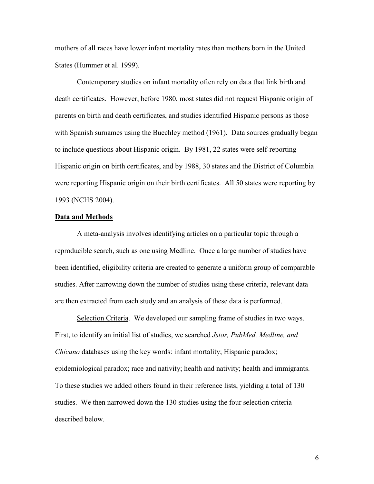mothers of all races have lower infant mortality rates than mothers born in the United States (Hummer et al. 1999).

Contemporary studies on infant mortality often rely on data that link birth and death certificates. However, before 1980, most states did not request Hispanic origin of parents on birth and death certificates, and studies identified Hispanic persons as those with Spanish surnames using the Buechley method (1961). Data sources gradually began to include questions about Hispanic origin. By 1981, 22 states were self-reporting Hispanic origin on birth certificates, and by 1988, 30 states and the District of Columbia were reporting Hispanic origin on their birth certificates. All 50 states were reporting by 1993 (NCHS 2004).

#### Data and Methods

A meta-analysis involves identifying articles on a particular topic through a reproducible search, such as one using Medline. Once a large number of studies have been identified, eligibility criteria are created to generate a uniform group of comparable studies. After narrowing down the number of studies using these criteria, relevant data are then extracted from each study and an analysis of these data is performed.

Selection Criteria. We developed our sampling frame of studies in two ways. First, to identify an initial list of studies, we searched Jstor, PubMed, Medline, and Chicano databases using the key words: infant mortality; Hispanic paradox; epidemiological paradox; race and nativity; health and nativity; health and immigrants. To these studies we added others found in their reference lists, yielding a total of 130 studies. We then narrowed down the 130 studies using the four selection criteria described below.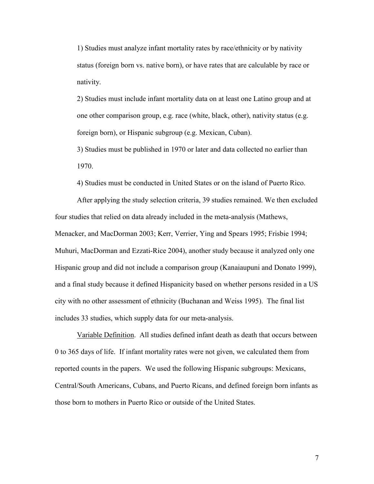1) Studies must analyze infant mortality rates by race/ethnicity or by nativity status (foreign born vs. native born), or have rates that are calculable by race or nativity.

2) Studies must include infant mortality data on at least one Latino group and at one other comparison group, e.g. race (white, black, other), nativity status (e.g. foreign born), or Hispanic subgroup (e.g. Mexican, Cuban).

3) Studies must be published in 1970 or later and data collected no earlier than 1970.

4) Studies must be conducted in United States or on the island of Puerto Rico.

After applying the study selection criteria, 39 studies remained. We then excluded four studies that relied on data already included in the meta-analysis (Mathews, Menacker, and MacDorman 2003; Kerr, Verrier, Ying and Spears 1995; Frisbie 1994; Muhuri, MacDorman and Ezzati-Rice 2004), another study because it analyzed only one Hispanic group and did not include a comparison group (Kanaiaupuni and Donato 1999), and a final study because it defined Hispanicity based on whether persons resided in a US city with no other assessment of ethnicity (Buchanan and Weiss 1995). The final list includes 33 studies, which supply data for our meta-analysis.

Variable Definition. All studies defined infant death as death that occurs between 0 to 365 days of life. If infant mortality rates were not given, we calculated them from reported counts in the papers. We used the following Hispanic subgroups: Mexicans, Central/South Americans, Cubans, and Puerto Ricans, and defined foreign born infants as those born to mothers in Puerto Rico or outside of the United States.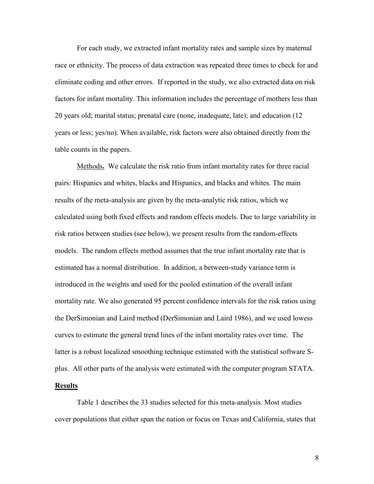For each study, we extracted infant mortality rates and sample sizes by maternal race or ethnicity. The process of data extraction was repeated three times to check for and eliminate coding and other errors. If reported in the study, we also extracted data on risk factors for infant mortality. This information includes the percentage of mothers less than 20 years old; marital status; prenatal care (none, inadequate, late); and education (12 years or less; yes/no). When available, risk factors were also obtained directly from the table counts in the papers.

Methods. We calculate the risk ratio from infant mortality rates for three racial pairs: Hispanics and whites, blacks and Hispanics, and blacks and whites. The main results of the meta-analysis are given by the meta-analytic risk ratios, which we calculated using both fixed effects and random effects models. Due to large variability in risk ratios between studies (see below), we present results from the random-effects models. The random effects method assumes that the true infant mortality rate that is estimated has a normal distribution. In addition, a between-study variance term is introduced in the weights and used for the pooled estimation of the overall infant mortality rate. We also generated 95 percent confidence intervals for the risk ratios using the DerSimonian and Laird method (DerSimonian and Laird 1986), and we used lowess curves to estimate the general trend lines of the infant mortality rates over time. The latter is a robust localized smoothing technique estimated with the statistical software Splus. All other parts of the analysis were estimated with the computer program STATA.

## Results

Table 1 describes the 33 studies selected for this meta-analysis. Most studies cover populations that either span the nation or focus on Texas and California, states that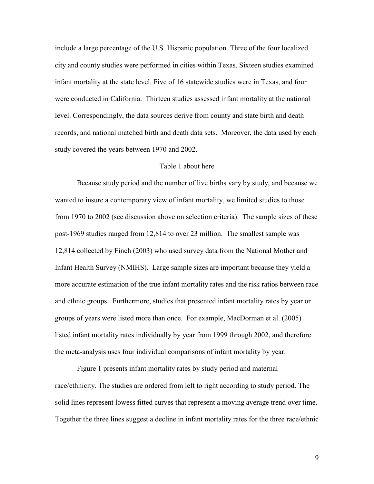include a large percentage of the U.S. Hispanic population. Three of the four localized city and county studies were performed in cities within Texas. Sixteen studies examined infant mortality at the state level. Five of 16 statewide studies were in Texas, and four were conducted in California. Thirteen studies assessed infant mortality at the national level. Correspondingly, the data sources derive from county and state birth and death records, and national matched birth and death data sets. Moreover, the data used by each study covered the years between 1970 and 2002.

## Table 1 about here

Because study period and the number of live births vary by study, and because we wanted to insure a contemporary view of infant mortality, we limited studies to those from 1970 to 2002 (see discussion above on selection criteria). The sample sizes of these post-1969 studies ranged from 12,814 to over 23 million. The smallest sample was 12,814 collected by Finch (2003) who used survey data from the National Mother and Infant Health Survey (NMIHS). Large sample sizes are important because they yield a more accurate estimation of the true infant mortality rates and the risk ratios between race and ethnic groups. Furthermore, studies that presented infant mortality rates by year or groups of years were listed more than once. For example, MacDorman et al. (2005) listed infant mortality rates individually by year from 1999 through 2002, and therefore the meta-analysis uses four individual comparisons of infant mortality by year.

Figure 1 presents infant mortality rates by study period and maternal race/ethnicity. The studies are ordered from left to right according to study period. The solid lines represent lowess fitted curves that represent a moving average trend over time. Together the three lines suggest a decline in infant mortality rates for the three race/ethnic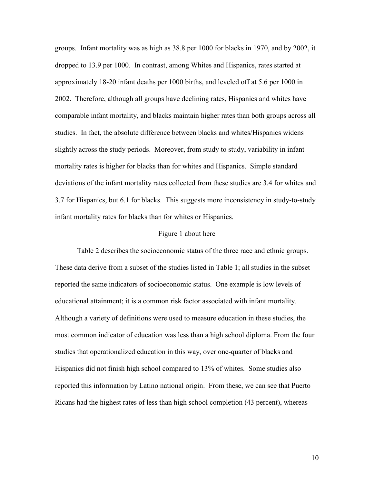groups. Infant mortality was as high as 38.8 per 1000 for blacks in 1970, and by 2002, it dropped to 13.9 per 1000. In contrast, among Whites and Hispanics, rates started at approximately 18-20 infant deaths per 1000 births, and leveled off at 5.6 per 1000 in 2002. Therefore, although all groups have declining rates, Hispanics and whites have comparable infant mortality, and blacks maintain higher rates than both groups across all studies. In fact, the absolute difference between blacks and whites/Hispanics widens slightly across the study periods. Moreover, from study to study, variability in infant mortality rates is higher for blacks than for whites and Hispanics. Simple standard deviations of the infant mortality rates collected from these studies are 3.4 for whites and 3.7 for Hispanics, but 6.1 for blacks. This suggests more inconsistency in study-to-study infant mortality rates for blacks than for whites or Hispanics.

#### Figure 1 about here

Table 2 describes the socioeconomic status of the three race and ethnic groups. These data derive from a subset of the studies listed in Table 1; all studies in the subset reported the same indicators of socioeconomic status. One example is low levels of educational attainment; it is a common risk factor associated with infant mortality. Although a variety of definitions were used to measure education in these studies, the most common indicator of education was less than a high school diploma. From the four studies that operationalized education in this way, over one-quarter of blacks and Hispanics did not finish high school compared to 13% of whites. Some studies also reported this information by Latino national origin. From these, we can see that Puerto Ricans had the highest rates of less than high school completion (43 percent), whereas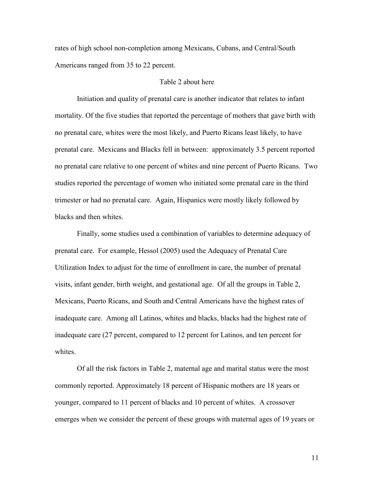rates of high school non-completion among Mexicans, Cubans, and Central/South Americans ranged from 35 to 22 percent.

## Table 2 about here

Initiation and quality of prenatal care is another indicator that relates to infant mortality. Of the five studies that reported the percentage of mothers that gave birth with no prenatal care, whites were the most likely, and Puerto Ricans least likely, to have prenatal care. Mexicans and Blacks fell in between: approximately 3.5 percent reported no prenatal care relative to one percent of whites and nine percent of Puerto Ricans. Two studies reported the percentage of women who initiated some prenatal care in the third trimester or had no prenatal care. Again, Hispanics were mostly likely followed by blacks and then whites.

Finally, some studies used a combination of variables to determine adequacy of prenatal care. For example, Hessol (2005) used the Adequacy of Prenatal Care Utilization Index to adjust for the time of enrollment in care, the number of prenatal visits, infant gender, birth weight, and gestational age. Of all the groups in Table 2, Mexicans, Puerto Ricans, and South and Central Americans have the highest rates of inadequate care. Among all Latinos, whites and blacks, blacks had the highest rate of inadequate care (27 percent, compared to 12 percent for Latinos, and ten percent for whites

Of all the risk factors in Table 2, maternal age and marital status were the most commonly reported. Approximately 18 percent of Hispanic mothers are 18 years or younger, compared to 11 percent of blacks and 10 percent of whites. A crossover emerges when we consider the percent of these groups with maternal ages of 19 years or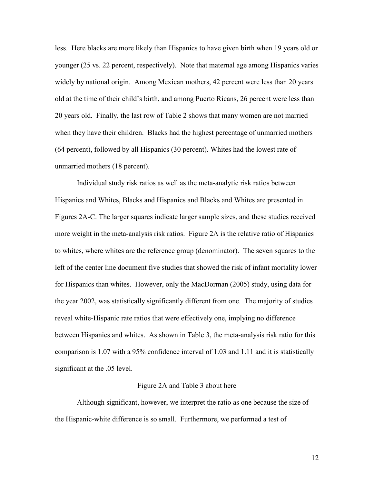less. Here blacks are more likely than Hispanics to have given birth when 19 years old or younger (25 vs. 22 percent, respectively). Note that maternal age among Hispanics varies widely by national origin. Among Mexican mothers, 42 percent were less than 20 years old at the time of their child's birth, and among Puerto Ricans, 26 percent were less than 20 years old. Finally, the last row of Table 2 shows that many women are not married when they have their children. Blacks had the highest percentage of unmarried mothers (64 percent), followed by all Hispanics (30 percent). Whites had the lowest rate of unmarried mothers (18 percent).

 Individual study risk ratios as well as the meta-analytic risk ratios between Hispanics and Whites, Blacks and Hispanics and Blacks and Whites are presented in Figures 2A-C. The larger squares indicate larger sample sizes, and these studies received more weight in the meta-analysis risk ratios. Figure 2A is the relative ratio of Hispanics to whites, where whites are the reference group (denominator). The seven squares to the left of the center line document five studies that showed the risk of infant mortality lower for Hispanics than whites. However, only the MacDorman (2005) study, using data for the year 2002, was statistically significantly different from one. The majority of studies reveal white-Hispanic rate ratios that were effectively one, implying no difference between Hispanics and whites. As shown in Table 3, the meta-analysis risk ratio for this comparison is 1.07 with a 95% confidence interval of 1.03 and 1.11 and it is statistically significant at the .05 level.

#### Figure 2A and Table 3 about here

Although significant, however, we interpret the ratio as one because the size of the Hispanic-white difference is so small. Furthermore, we performed a test of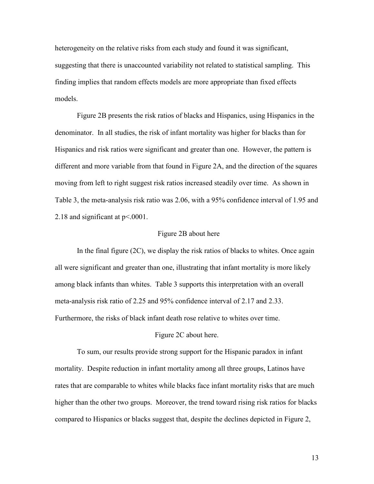heterogeneity on the relative risks from each study and found it was significant, suggesting that there is unaccounted variability not related to statistical sampling. This finding implies that random effects models are more appropriate than fixed effects models.

 Figure 2B presents the risk ratios of blacks and Hispanics, using Hispanics in the denominator. In all studies, the risk of infant mortality was higher for blacks than for Hispanics and risk ratios were significant and greater than one. However, the pattern is different and more variable from that found in Figure 2A, and the direction of the squares moving from left to right suggest risk ratios increased steadily over time. As shown in Table 3, the meta-analysis risk ratio was 2.06, with a 95% confidence interval of 1.95 and 2.18 and significant at  $p<0001$ .

## Figure 2B about here

In the final figure  $(2C)$ , we display the risk ratios of blacks to whites. Once again all were significant and greater than one, illustrating that infant mortality is more likely among black infants than whites. Table 3 supports this interpretation with an overall meta-analysis risk ratio of 2.25 and 95% confidence interval of 2.17 and 2.33. Furthermore, the risks of black infant death rose relative to whites over time.

# Figure 2C about here.

To sum, our results provide strong support for the Hispanic paradox in infant mortality. Despite reduction in infant mortality among all three groups, Latinos have rates that are comparable to whites while blacks face infant mortality risks that are much higher than the other two groups. Moreover, the trend toward rising risk ratios for blacks compared to Hispanics or blacks suggest that, despite the declines depicted in Figure 2,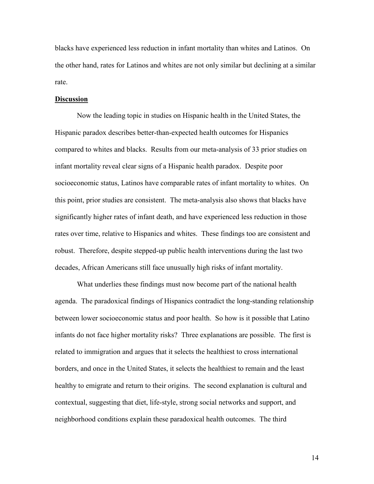blacks have experienced less reduction in infant mortality than whites and Latinos. On the other hand, rates for Latinos and whites are not only similar but declining at a similar rate.

## **Discussion**

Now the leading topic in studies on Hispanic health in the United States, the Hispanic paradox describes better-than-expected health outcomes for Hispanics compared to whites and blacks. Results from our meta-analysis of 33 prior studies on infant mortality reveal clear signs of a Hispanic health paradox. Despite poor socioeconomic status, Latinos have comparable rates of infant mortality to whites. On this point, prior studies are consistent. The meta-analysis also shows that blacks have significantly higher rates of infant death, and have experienced less reduction in those rates over time, relative to Hispanics and whites. These findings too are consistent and robust. Therefore, despite stepped-up public health interventions during the last two decades, African Americans still face unusually high risks of infant mortality.

What underlies these findings must now become part of the national health agenda. The paradoxical findings of Hispanics contradict the long-standing relationship between lower socioeconomic status and poor health. So how is it possible that Latino infants do not face higher mortality risks? Three explanations are possible. The first is related to immigration and argues that it selects the healthiest to cross international borders, and once in the United States, it selects the healthiest to remain and the least healthy to emigrate and return to their origins. The second explanation is cultural and contextual, suggesting that diet, life-style, strong social networks and support, and neighborhood conditions explain these paradoxical health outcomes. The third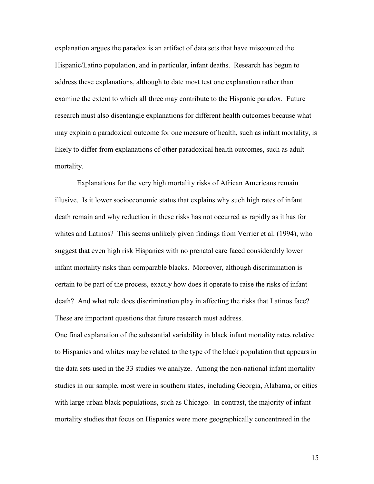explanation argues the paradox is an artifact of data sets that have miscounted the Hispanic/Latino population, and in particular, infant deaths. Research has begun to address these explanations, although to date most test one explanation rather than examine the extent to which all three may contribute to the Hispanic paradox. Future research must also disentangle explanations for different health outcomes because what may explain a paradoxical outcome for one measure of health, such as infant mortality, is likely to differ from explanations of other paradoxical health outcomes, such as adult mortality.

 Explanations for the very high mortality risks of African Americans remain illusive. Is it lower socioeconomic status that explains why such high rates of infant death remain and why reduction in these risks has not occurred as rapidly as it has for whites and Latinos? This seems unlikely given findings from Verrier et al. (1994), who suggest that even high risk Hispanics with no prenatal care faced considerably lower infant mortality risks than comparable blacks. Moreover, although discrimination is certain to be part of the process, exactly how does it operate to raise the risks of infant death? And what role does discrimination play in affecting the risks that Latinos face? These are important questions that future research must address.

One final explanation of the substantial variability in black infant mortality rates relative to Hispanics and whites may be related to the type of the black population that appears in the data sets used in the 33 studies we analyze. Among the non-national infant mortality studies in our sample, most were in southern states, including Georgia, Alabama, or cities with large urban black populations, such as Chicago. In contrast, the majority of infant mortality studies that focus on Hispanics were more geographically concentrated in the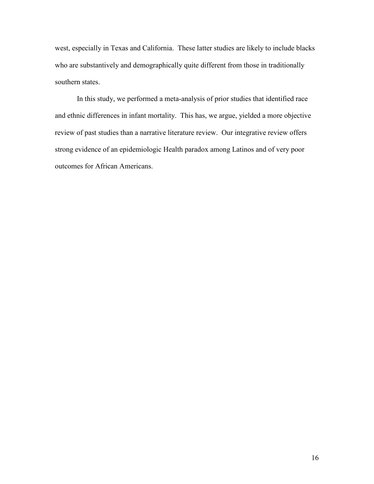west, especially in Texas and California. These latter studies are likely to include blacks who are substantively and demographically quite different from those in traditionally southern states.

In this study, we performed a meta-analysis of prior studies that identified race and ethnic differences in infant mortality. This has, we argue, yielded a more objective review of past studies than a narrative literature review. Our integrative review offers strong evidence of an epidemiologic Health paradox among Latinos and of very poor outcomes for African Americans.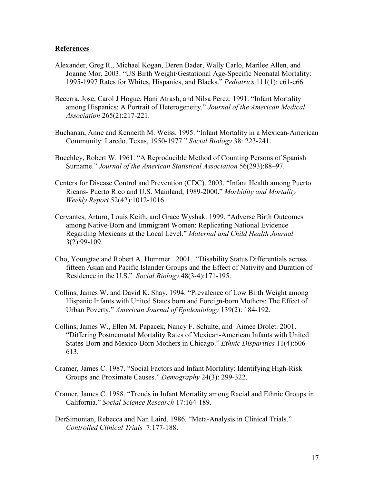# References

- Alexander, Greg R., Michael Kogan, Deren Bader, Wally Carlo, Marilee Allen, and Joanne Mor. 2003. "US Birth Weight/Gestational Age-Specific Neonatal Mortality: 1995-1997 Rates for Whites, Hispanics, and Blacks." Pediatrics 111(1): e61-e66.
- Becerra, Jose, Carol J Hogue, Hani Atrash, and Nilsa Perez. 1991. "Infant Mortality among Hispanics: A Portrait of Heterogeneity." Journal of the American Medical Association 265(2):217-221.
- Buchanan, Anne and Kenneith M. Weiss. 1995. "Infant Mortality in a Mexican-American Community: Laredo, Texas, 1950-1977." Social Biology 38: 223-241.
- Buechley, Robert W. 1961. "A Reproducible Method of Counting Persons of Spanish Surname." Journal of the American Statistical Association 56(293):88–97.
- Centers for Disease Control and Prevention (CDC). 2003. "Infant Health among Puerto Ricans- Puerto Rico and U.S. Mainland, 1989-2000." Morbidity and Mortality Weekly Report 52(42):1012-1016.
- Cervantes, Arturo, Louis Keith, and Grace Wyshak. 1999. "Adverse Birth Outcomes among Native-Born and Immigrant Women: Replicating National Evidence Regarding Mexicans at the Local Level." Maternal and Child Health Journal 3(2):99-109.
- Cho, Youngtae and Robert A. Hummer. 2001. "Disability Status Differentials across fifteen Asian and Pacific Islander Groups and the Effect of Nativity and Duration of Residence in the U.S." Social Biology 48(3-4):171-195.
- Collins, James W. and David K. Shay. 1994. "Prevalence of Low Birth Weight among Hispanic Infants with United States born and Foreign-born Mothers: The Effect of Urban Poverty." American Journal of Epidemiology 139(2): 184-192.
- Collins, James W., Ellen M. Papacek, Nancy F. Schulte, and Aimee Drolet. 2001. "Differing Postneonatal Mortality Rates of Mexican-American Infants with United States-Born and Mexico-Born Mothers in Chicago." Ethnic Disparities 11(4):606- 613.
- Cramer, James C. 1987. "Social Factors and Infant Mortality: Identifying High-Risk Groups and Proximate Causes." Demography 24(3): 299-322.
- Cramer, James C. 1988. "Trends in Infant Mortality among Racial and Ethnic Groups in California." Social Science Research 17:164-189.
- DerSimonian, Rebecca and Nan Laird. 1986. "Meta-Analysis in Clinical Trials." Controlled Clinical Trials 7:177-188.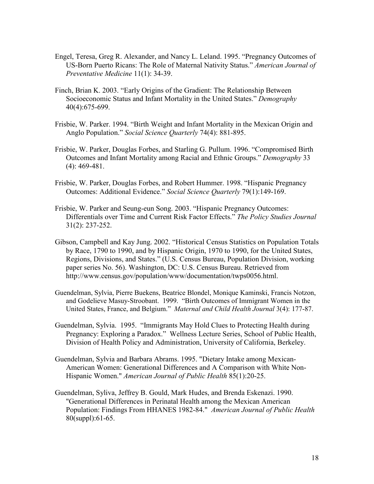- Engel, Teresa, Greg R. Alexander, and Nancy L. Leland. 1995. "Pregnancy Outcomes of US-Born Puerto Ricans: The Role of Maternal Nativity Status." American Journal of Preventative Medicine 11(1): 34-39.
- Finch, Brian K. 2003. "Early Origins of the Gradient: The Relationship Between Socioeconomic Status and Infant Mortality in the United States." Demography 40(4):675-699.
- Frisbie, W. Parker. 1994. "Birth Weight and Infant Mortality in the Mexican Origin and Anglo Population." Social Science Ouarterly 74(4): 881-895.
- Frisbie, W. Parker, Douglas Forbes, and Starling G. Pullum. 1996. "Compromised Birth Outcomes and Infant Mortality among Racial and Ethnic Groups." Demography 33 (4): 469-481.
- Frisbie, W. Parker, Douglas Forbes, and Robert Hummer. 1998. "Hispanic Pregnancy Outcomes: Additional Evidence." Social Science Quarterly 79(1):149-169.
- Frisbie, W. Parker and Seung-eun Song. 2003. "Hispanic Pregnancy Outcomes: Differentials over Time and Current Risk Factor Effects." The Policy Studies Journal 31(2): 237-252.
- Gibson, Campbell and Kay Jung. 2002. "Historical Census Statistics on Population Totals by Race, 1790 to 1990, and by Hispanic Origin, 1970 to 1990, for the United States, Regions, Divisions, and States." (U.S. Census Bureau, Population Division, working paper series No. 56). Washington, DC: U.S. Census Bureau. Retrieved from <http://www.census.gov/population/www/documentation/twps0056.html>.
- Guendelman, Sylvia, Pierre Buekens, Beatrice Blondel, Monique Kaminski, Francis Notzon, and Godelieve Masuy-Stroobant. 1999. "Birth Outcomes of Immigrant Women in the United States, France, and Belgium." Maternal and Child Health Journal 3(4): 177-87.
- Guendelman, Sylvia. 1995. "Immigrants May Hold Clues to Protecting Health during Pregnancy: Exploring a Paradox." Wellness Lecture Series, School of Public Health, Division of Health Policy and Administration, University of California, Berkeley.
- Guendelman, Sylvia and Barbara Abrams. 1995. "Dietary Intake among Mexican-American Women: Generational Differences and A Comparison with White Non-Hispanic Women." American Journal of Public Health 85(1):20-25.
- Guendelman, Syliva, Jeffrey B. Gould, Mark Hudes, and Brenda Eskenazi. 1990. "Generational Differences in Perinatal Health among the Mexican American Population: Findings From HHANES 1982-84." American Journal of Public Health 80(suppl):61-65.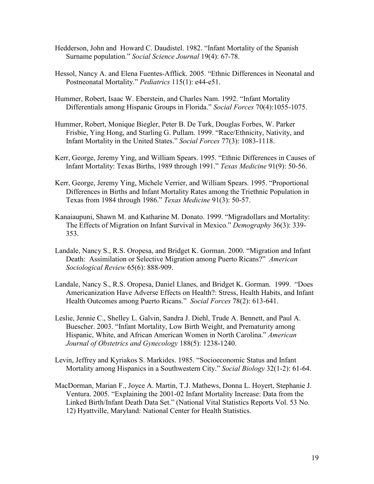- Hedderson, John and Howard C. Daudistel. 1982. "Infant Mortality of the Spanish Surname population." Social Science Journal 19(4): 67-78.
- Hessol, Nancy A. and Elena Fuentes-Afflick. 2005. "Ethnic Differences in Neonatal and Postneonatal Mortality." Pediatrics 115(1): e44-e51.
- Hummer, Robert, Isaac W. Eberstein, and Charles Nam. 1992. "Infant Mortality Differentials among Hispanic Groups in Florida." Social Forces 70(4):1055-1075.
- Hummer, Robert, Monique Biegler, Peter B. De Turk, Douglas Forbes, W. Parker Frisbie, Ying Hong, and Starling G. Pullam. 1999. "Race/Ethnicity, Nativity, and Infant Mortality in the United States." Social Forces 77(3): 1083-1118.
- Kerr, George, Jeremy Ying, and William Spears. 1995. "Ethnic Differences in Causes of Infant Mortality: Texas Births, 1989 through 1991." Texas Medicine 91(9): 50-56.
- Kerr, George, Jeremy Ying, Michele Verrier, and William Spears. 1995. "Proportional Differences in Births and Infant Mortality Rates among the Triethnic Population in Texas from 1984 through 1986." Texas Medicine 91(3): 50-57.
- Kanaiaupuni, Shawn M. and Katharine M. Donato. 1999. "Migradollars and Mortality: The Effects of Migration on Infant Survival in Mexico." Demography 36(3): 339- 353.
- Landale, Nancy S., R.S. Oropesa, and Bridget K. Gorman. 2000. "Migration and Infant Death: Assimilation or Selective Migration among Puerto Ricans?" American Sociological Review 65(6): 888-909.
- Landale, Nancy S., R.S. Oropesa, Daniel Llanes, and Bridget K. Gorman. 1999. "Does Americanization Have Adverse Effects on Health?: Stress, Health Habits, and Infant Health Outcomes among Puerto Ricans." Social Forces 78(2): 613-641.
- Leslie, Jennie C., Shelley L. Galvin, Sandra J. Diehl, Trude A. Bennett, and Paul A. Buescher. 2003. "Infant Mortality, Low Birth Weight, and Prematurity among Hispanic, White, and African American Women in North Carolina." American Journal of Obstetrics and Gynecology 188(5): 1238-1240.
- Levin, Jeffrey and Kyriakos S. Markides. 1985. "Socioeconomic Status and Infant Mortality among Hispanics in a Southwestern City." Social Biology 32(1-2): 61-64.
- MacDorman, Marian F., Joyce A. Martin, T.J. Mathews, Donna L. Hoyert, Stephanie J. Ventura. 2005. "Explaining the 2001-02 Infant Mortality Increase: Data from the Linked Birth/Infant Death Data Set." (National Vital Statistics Reports Vol. 53 No. 12) Hyattville, Maryland: National Center for Health Statistics.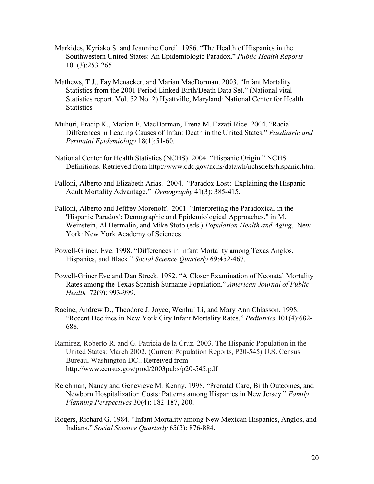- Markides, Kyriako S. and Jeannine Coreil. 1986. "The Health of Hispanics in the Southwestern United States: An Epidemiologic Paradox." Public Health Reports 101(3):253-265.
- Mathews, T.J., Fay Menacker, and Marian MacDorman. 2003. "Infant Mortality Statistics from the 2001 Period Linked Birth/Death Data Set." (National vital Statistics report. Vol. 52 No. 2) Hyattville, Maryland: National Center for Health **Statistics**
- Muhuri, Pradip K., Marian F. MacDorman, Trena M. Ezzati-Rice. 2004. "Racial Differences in Leading Causes of Infant Death in the United States." Paediatric and Perinatal Epidemiology 18(1):51-60.
- National Center for Health Statistics (NCHS). 2004. "Hispanic Origin." NCHS Definitions. Retrieved from [http://www.cdc.gov/nchs/datawh/nchsdefs/hispanic.htm.](http://www.cdc.gov/nchs/datawh/nchsdefs/hispanic.htm)
- Palloni, Alberto and Elizabeth Arias. 2004. "Paradox Lost: Explaining the Hispanic Adult Mortality Advantage." Demography 41(3): 385-415.
- Palloni, Alberto and Jeffrey Morenoff. 2001 "Interpreting the Paradoxical in the 'Hispanic Paradox': Demographic and Epidemiological Approaches." in M. Weinstein, Al Hermalin, and Mike Stoto (eds.) Population Health and Aging, New York: New York Academy of Sciences.
- Powell-Griner, Eve. 1998. "Differences in Infant Mortality among Texas Anglos, Hispanics, and Black." Social Science Quarterly 69:452-467.
- Powell-Griner Eve and Dan Streck. 1982. "A Closer Examination of Neonatal Mortality Rates among the Texas Spanish Surname Population." American Journal of Public Health 72(9): 993-999.
- Racine, Andrew D., Theodore J. Joyce, Wenhui Li, and Mary Ann Chiasson. 1998. "Recent Declines in New York City Infant Mortality Rates." Pediatrics 101(4):682- 688.
- Ramirez, Roberto R. and G. Patricia de la Cruz. 2003. The Hispanic Population in the United States: March 2002. (Current Population Reports, P20-545) U.S. Census Bureau, Washington DC.. Retreived from http://www.census.gov/prod/2003pubs/p20-545.pdf
- Reichman, Nancy and Genevieve M. Kenny. 1998. "Prenatal Care, Birth Outcomes, and Newborn Hospitalization Costs: Patterns among Hispanics in New Jersey." Family Planning Perspectives 30(4): 182-187, 200.
- Rogers, Richard G. 1984. "Infant Mortality among New Mexican Hispanics, Anglos, and Indians." Social Science Quarterly 65(3): 876-884.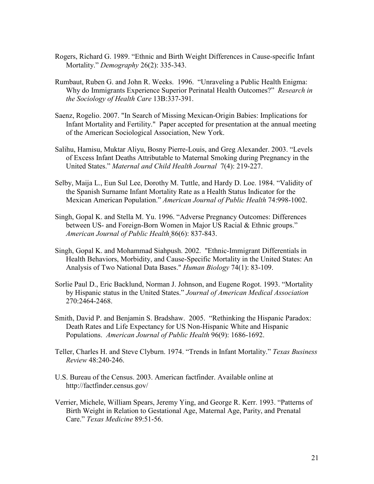- Rogers, Richard G. 1989. "Ethnic and Birth Weight Differences in Cause-specific Infant Mortality." Demography 26(2): 335-343.
- Rumbaut, Ruben G. and John R. Weeks. 1996. "Unraveling a Public Health Enigma: Why do Immigrants Experience Superior Perinatal Health Outcomes?" Research in the Sociology of Health Care 13B:337-391.
- Saenz, Rogelio. 2007. "In Search of Missing Mexican-Origin Babies: Implications for Infant Mortality and Fertility." Paper accepted for presentation at the annual meeting of the American Sociological Association, New York.
- Salihu, Hamisu, Muktar Aliyu, Bosny Pierre-Louis, and Greg Alexander. 2003. "Levels of Excess Infant Deaths Attributable to Maternal Smoking during Pregnancy in the United States." Maternal and Child Health Journal 7(4): 219-227.
- Selby, Maija L., Eun Sul Lee, Dorothy M. Tuttle, and Hardy D. Loe. 1984. "Validity of the Spanish Surname Infant Mortality Rate as a Health Status Indicator for the Mexican American Population." American Journal of Public Health 74:998-1002.
- Singh, Gopal K. and Stella M. Yu. 1996. "Adverse Pregnancy Outcomes: Differences between US- and Foreign-Born Women in Major US Racial & Ethnic groups." American Journal of Public Health 86(6): 837-843.
- Singh, Gopal K. and Mohammad Siahpush. 2002. "Ethnic-Immigrant Differentials in Health Behaviors, Morbidity, and Cause-Specific Mortality in the United States: An Analysis of Two National Data Bases." Human Biology 74(1): 83-109.
- Sorlie Paul D., Eric Backlund, Norman J. Johnson, and Eugene Rogot. 1993. "Mortality by Hispanic status in the United States." Journal of American Medical Association 270:2464-2468.
- Smith, David P. and Benjamin S. Bradshaw. 2005. "Rethinking the Hispanic Paradox: Death Rates and Life Expectancy for US Non-Hispanic White and Hispanic Populations. American Journal of Public Health 96(9): 1686-1692.
- Teller, Charles H. and Steve Clyburn. 1974. "Trends in Infant Mortality." Texas Business Review 48:240-246.
- U.S. Bureau of the Census. 2003. American factfinder. Available online at <http://factfinder.census.gov/>
- Verrier, Michele, William Spears, Jeremy Ying, and George R. Kerr. 1993. "Patterns of Birth Weight in Relation to Gestational Age, Maternal Age, Parity, and Prenatal Care." Texas Medicine 89:51-56.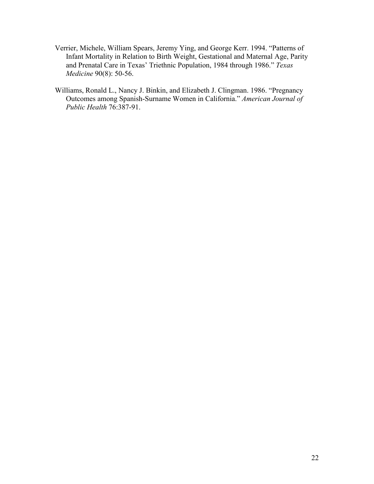- Verrier, Michele, William Spears, Jeremy Ying, and George Kerr. 1994. "Patterns of Infant Mortality in Relation to Birth Weight, Gestational and Maternal Age, Parity and Prenatal Care in Texas' Triethnic Population, 1984 through 1986." Texas Medicine 90(8): 50-56.
- Williams, Ronald L., Nancy J. Binkin, and Elizabeth J. Clingman. 1986. "Pregnancy Outcomes among Spanish-Surname Women in California." American Journal of Public Health 76:387-91.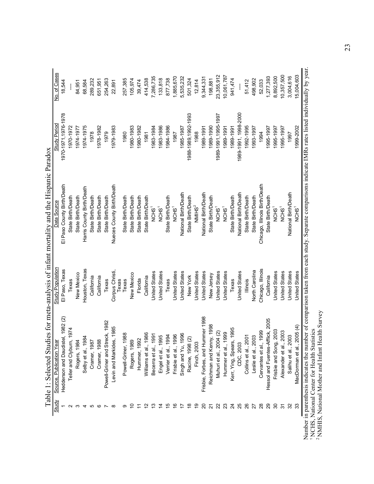|                         | Table 1: Selected Studi                                                                                                                                             |                         | ies for meta-analysis of infant mortality and the Hispanic Paradox                                             |                      |              |
|-------------------------|---------------------------------------------------------------------------------------------------------------------------------------------------------------------|-------------------------|----------------------------------------------------------------------------------------------------------------|----------------------|--------------|
|                         | <b>Publication Year</b><br>Source,                                                                                                                                  | Study Populatior        | Data Source                                                                                                    | Study Period         | No. of Cases |
|                         | Hedderson and Daudistel, 1982 (2)                                                                                                                                   | El Paso, Texas          | El Paso County Birth/Death                                                                                     | 1970-1971, 1976-1978 | 18,544       |
|                         | 1974<br>Teller and Clyburn,                                                                                                                                         | Texas                   | State Birth/Death                                                                                              | 1970-1972            |              |
|                         | Rogers, 1984                                                                                                                                                        | New Mexico              | State Birth/Death                                                                                              | 1974-1977            | 84,951       |
|                         | 4<br>Selby et al., 198                                                                                                                                              | Houston, Texas          | Harris County Birth/Death                                                                                      | 1974-1975            | 68,584       |
|                         | Cramer, 1987                                                                                                                                                        | California              | State Birth/Death                                                                                              | 1978                 | 289,232      |
|                         | Cramer, 1988                                                                                                                                                        | California              | State Birth/Death                                                                                              | 1978-1982            | 651,951      |
|                         | Powell-Griner and Streck, 1982                                                                                                                                      | Texas                   | State Birth/Death                                                                                              | 1979                 | 254,263      |
|                         | Levin and Markides, 1985                                                                                                                                            | Corpus Christi,<br>exas | Nueces County Birth/Death                                                                                      | 1979-1983            | 22,891       |
|                         | 88<br>Powell-Griner, 19                                                                                                                                             | Texas                   | State Birth/Death                                                                                              | 1980                 | 257,385      |
|                         | Rogers, 1989                                                                                                                                                        | New Mexico              | State Birth/Death                                                                                              | 1980-1983            | 105,974      |
|                         | Hummer, 1992                                                                                                                                                        | Florida                 | State Birth/Death                                                                                              | 1980-1982            | 39,474       |
|                         | Williams et al., 1986                                                                                                                                               | California              | State Birth/Death                                                                                              | 1981                 | 414,538      |
|                         | Becerra et al., 1991                                                                                                                                                | United States           | NCHS <sup>1</sup>                                                                                              | 1983-1984            | 7,286,735    |
|                         | Engel et al., 1995                                                                                                                                                  | United States           | NCHS <sup>1</sup>                                                                                              | 1983-1986            | 133,818      |
|                         | Verrier et al., 1994                                                                                                                                                | Texas                   | State Birth/Death                                                                                              | 1984-1986            | 877,738      |
| $\frac{6}{1}$           | Frisbie et al., 1996                                                                                                                                                | United States           | NCHS <sup>1</sup>                                                                                              | 1987                 | 1,885,670    |
|                         | Singh and Yu, 1996                                                                                                                                                  | United States           | National Birth/Death                                                                                           | 1985-1987            | 5,535,232    |
| $\overset{\circ}{\tau}$ | Racine, 1998 (2)                                                                                                                                                    | New York                | State Birth/Death                                                                                              | 1988-1989, 1992-1993 | 501,324      |
|                         | Finch, 2003                                                                                                                                                         | United States           | $N$ MIHS <sup>2</sup>                                                                                          | 1988                 | 12,814       |
| 20                      | Frisbie, Forbes, and Hummer 1998                                                                                                                                    | <b>United States</b>    | National Birth/Death                                                                                           | 1989-1991            | 9,344,331    |
| 24                      | Reichman and Kenny, 1998                                                                                                                                            | New Jersey              | State Birth/Death                                                                                              | 1989-1990            | 198,881      |
| 22                      | Muhuri et al., 2004 (2)                                                                                                                                             | <b>United States</b>    | NCHS <sup>1</sup>                                                                                              | 1989-1991, 1995-1997 | 23,355,912   |
| 23                      | Hummer et al., 1999                                                                                                                                                 | United States           | NCHS <sup>1</sup>                                                                                              | 1989-1991            | 10,061,787   |
| $\overline{24}$         | 1995<br>Kerr, Ying, Spears,                                                                                                                                         | Texas                   | State Birth/Death                                                                                              | 1989-1991            | 941,474      |
| 25                      | CDC, 2003                                                                                                                                                           | United States           | National Birth/Death                                                                                           | 1989-1991, 1998-2000 |              |
| 26                      | Collins et al., 2001                                                                                                                                                | <b>Illinois</b>         | State Birth/Death                                                                                              | 1992-1995            | 51,412       |
| 27                      | Leslie et al., 2003                                                                                                                                                 | North Carolina          | State Birth/Death                                                                                              | 1993-1997            | 498,902      |
| $^{28}$                 | 1999<br>Cervantes et al., 1                                                                                                                                         | Chicago, Illinois       | Chicago, Illinois Birth/Death                                                                                  | 1994                 | 52,033       |
| 29                      | Hessol and Fuentes-Afflick, 2005                                                                                                                                    | California              | State Birth/Death                                                                                              | 1995-1997            | 1,277,393    |
| 30                      | Frisbie and Song, 2003                                                                                                                                              | <b>United States</b>    | NCHS <sup>1</sup>                                                                                              | 1995-1997            | 8,892,500    |
| 22                      | Alexander et al., 2003                                                                                                                                              | <b>United States</b>    | NCHS <sup>1</sup>                                                                                              | 1995-1997            | 10,357,500   |
| 32                      | Salihu et al., 2003                                                                                                                                                 | <b>United States</b>    | National Birth/Death                                                                                           | 1997                 | 3,004,616    |
| 33                      | MacDorman et al., 2005 (4)                                                                                                                                          | United States           | NCHS <sup>1</sup>                                                                                              | 1999-2002            | 15,004,603   |
|                         | <sup>2</sup> NMHIS, National Mother and Infant Health Survey<br><sup>1</sup> NCHS, National Center for Health Statistics<br>Number in parenthesis indicates the num |                         | ber of comparison taken from each study. Separate comparisons indicate IMRs rates listed individually by year. |                      |              |
|                         |                                                                                                                                                                     |                         |                                                                                                                |                      |              |

Ë  $\overline{a}$  $\ddot{z}$  $\epsilon$  $\ddot{z}$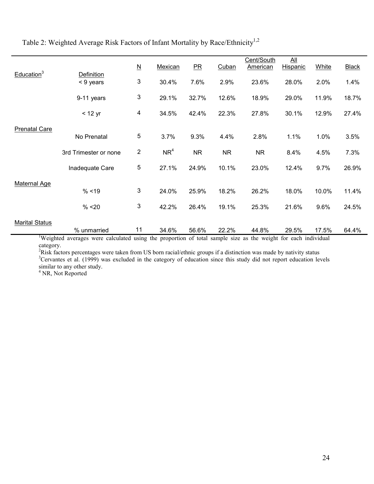Table 2: Weighted Average Risk Factors of Infant Mortality by Race/Ethnicity<sup>1,2</sup>

|                        |                                                                                                               |                             |         |           |           | Cent/South      | $\overline{All}$ |              |              |
|------------------------|---------------------------------------------------------------------------------------------------------------|-----------------------------|---------|-----------|-----------|-----------------|------------------|--------------|--------------|
|                        |                                                                                                               | $\underline{\underline{N}}$ | Mexican | PR        | Cuban     | <b>American</b> | Hispanic         | <b>White</b> | <b>Black</b> |
| Education <sup>3</sup> | Definition                                                                                                    | 3                           |         |           |           |                 |                  |              |              |
|                        | < 9 years                                                                                                     |                             | 30.4%   | 7.6%      | 2.9%      | 23.6%           | 28.0%            | 2.0%         | 1.4%         |
|                        | 9-11 years                                                                                                    | 3                           | 29.1%   | 32.7%     | 12.6%     | 18.9%           | 29.0%            | 11.9%        | 18.7%        |
|                        | $<$ 12 yr                                                                                                     | $\overline{\mathbf{4}}$     | 34.5%   | 42.4%     | 22.3%     | 27.8%           | 30.1%            | 12.9%        | 27.4%        |
|                        |                                                                                                               |                             |         |           |           |                 |                  |              |              |
| <b>Prenatal Care</b>   | No Prenatal                                                                                                   | $\sqrt{5}$                  | 3.7%    | 9.3%      | 4.4%      | 2.8%            | 1.1%             | 1.0%         | 3.5%         |
|                        |                                                                                                               |                             |         |           |           |                 |                  |              |              |
|                        | 3rd Trimester or none                                                                                         | $\overline{\mathbf{c}}$     | $NR^4$  | <b>NR</b> | <b>NR</b> | <b>NR</b>       | 8.4%             | 4.5%         | 7.3%         |
|                        | Inadequate Care                                                                                               | 5                           | 27.1%   | 24.9%     | 10.1%     | 23.0%           | 12.4%            | 9.7%         | 26.9%        |
|                        |                                                                                                               |                             |         |           |           |                 |                  |              |              |
| <b>Maternal Age</b>    | % < 19                                                                                                        | 3                           | 24.0%   | 25.9%     | 18.2%     | 26.2%           | 18.0%            | 10.0%        | 11.4%        |
|                        |                                                                                                               |                             |         |           |           |                 |                  |              |              |
|                        | % < 20                                                                                                        | 3                           | 42.2%   | 26.4%     | 19.1%     | 25.3%           | 21.6%            | 9.6%         | 24.5%        |
| <b>Marital Status</b>  |                                                                                                               |                             |         |           |           |                 |                  |              |              |
|                        | % unmarried                                                                                                   | 11                          | 34.6%   | 56.6%     | 22.2%     | 44.8%           | 29.5%            | 17.5%        | 64.4%        |
|                        | Weighted averages were calculated using the proportion of total sample size as the weight for each individual |                             |         |           |           |                 |                  |              |              |

<sup>1</sup>Weighted averages were calculated using the proportion of total sample size as the weight for each individual category.

 $2R$ isk factors percentages were taken from US born racial/ethnic groups if a distinction was made by nativity status <sup>3</sup>Cervantes et al. (1999) was excluded in the category of education since this study did not report education levels similar to any other study. 4 NR, Not Reported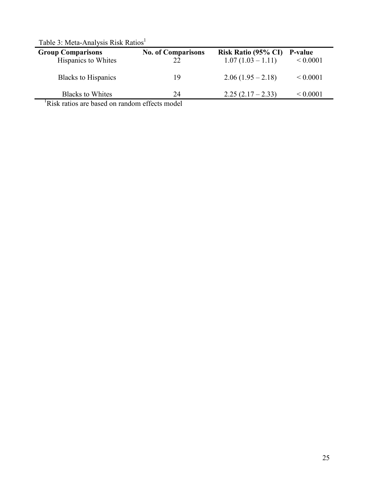| <b>Group Comparisons</b><br>Hispanics to Whites | <b>No. of Comparisons</b><br>22 | <b>Risk Ratio (95% CI)</b><br>$1.07(1.03 - 1.11)$ | <b>P-value</b><br>${}< 0.0001$ |
|-------------------------------------------------|---------------------------------|---------------------------------------------------|--------------------------------|
| <b>Blacks to Hispanics</b>                      | 19                              | $2.06(1.95-2.18)$                                 | ${}_{0.0001}$                  |
| <b>Blacks to Whites</b>                         | 24                              | $2.25(2.17-2.33)$                                 | ${}_{0.0001}$                  |

Table 3: Meta-Analysis Risk Ratios<sup>1</sup>

<sup>1</sup>Risk ratios are based on random effects model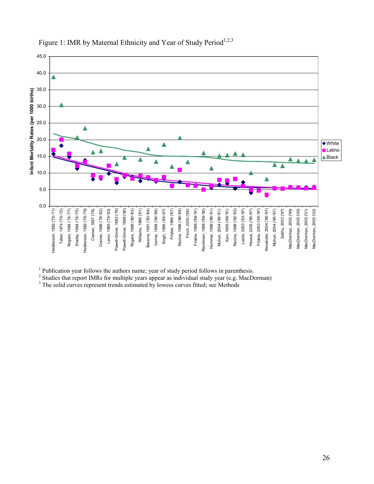

# Figure 1: IMR by Maternal Ethnicity and Year of Study Period<sup>1,2,3</sup>

 $<sup>1</sup>$  Publication year follows the authors name; year of study period follows in parenthesis.</sup>

 $2$  Studies that report IMRs for multiple years appear as individual study year (e.g. MacDorman)

<sup>3</sup> The solid curves represent trends estimated by lowess curves fitted; see Methods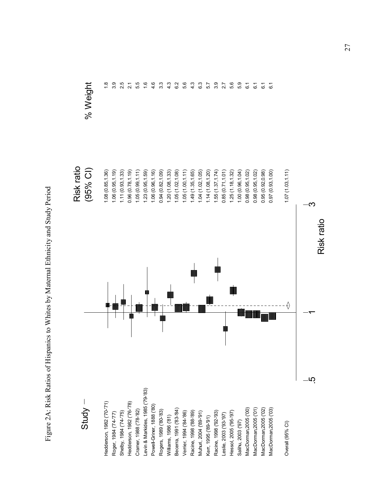Figure 2A: Risk Ratios of Hispanics to Whites by Maternal Ethnicity and Study Period Figure 2A: Risk Ratios of Hispanics to Whites by Maternal Ethnicity and Study Period

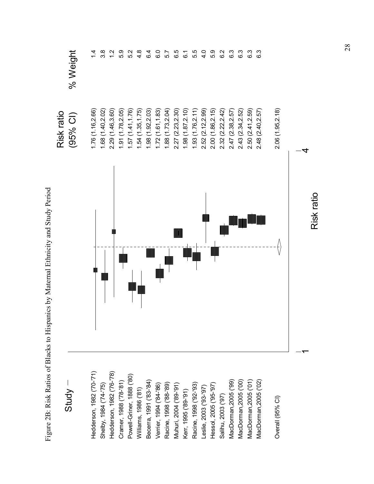|                           | Figure 2B: Risk Ratios of Blacks to Hispanics by Maternal Ethnicity and Study Period |                   |                  |
|---------------------------|--------------------------------------------------------------------------------------|-------------------|------------------|
|                           |                                                                                      | Risk ratio        |                  |
| <b>Study</b>              |                                                                                      | $(95%$ CI)        | % Weight         |
| Hedderson, 1982 ('70-'71) |                                                                                      | 1.76 (1.16,2.66)  | $1\overline{4}$  |
| Shelby, 1984 ('74-'75)    |                                                                                      | 1.68(1.40, 2.02)  | 3.8              |
| Hedderson, 1982 ('76-'78) |                                                                                      | 2.29 (1.46,3.60)  | $\frac{2}{1}$    |
| Cramer, 1988 ('78-'81)    |                                                                                      | 1.91(1.78, 2.05)  | 5.9              |
| Powell-Griner, 1888 ('80) |                                                                                      | 1.57(1.41, 1.76)  | 5.2              |
| Williams, 1986 ('81)      |                                                                                      | 1.54(1.35, 1.75)  | $4.\overline{8}$ |
| Becerra, 1991 ('83-'84)   |                                                                                      | 1.98(1.92, 2.03)  | $6\overline{4}$  |
| Verrier, 1994 ('84-'86)   |                                                                                      | 1.72(1.61, 1.83)  | 6.0              |
| Racine, 1998 ('88-'89)    |                                                                                      | 1.88(1.73, 2.04)  | 57               |
| Muhuri, 2004 ('89-'91)    |                                                                                      | 2.27 (2.23, 2.30) | 6.5              |
| Kerr, 1995 ('89-'91)      |                                                                                      | 1.98(1.87, 2.10)  | $\overline{6}$ . |
| Racine, 1998 ('92-'93)    |                                                                                      | 1.93(1.76, 2.11)  | 5.5              |
| Leslie, 2003 ('93-'97)    |                                                                                      | 2.52 (2.12,2.99)  | 4.0              |
| Hessol, 2005 ('95-'97)    |                                                                                      | 2.00 (1.86,2.15)  | 5.9              |
| Salihu, 2003 ('97)        |                                                                                      | 2.32(2.22,2.42)   | 6.2              |
| MacDorman, 2005 ('99)     |                                                                                      | 2.47 (2.38,2.57)  | 6.3              |
| MacDorman, 2005 ('00)     |                                                                                      | 2.43 (2.34, 2.52) | 6.3              |
| MacDorman, 2005 ('01)     |                                                                                      | 2.50 (2.41, 2.59) | 6.3              |
| MacDorman, 2005 ('02)     |                                                                                      | 2.48 (2.40, 2.57) | 6.3              |
| Overall (95% CI)          |                                                                                      | 2.06 (1.95,2.18)  |                  |
|                           |                                                                                      |                   |                  |
|                           |                                                                                      | 4                 |                  |

Risk ratio